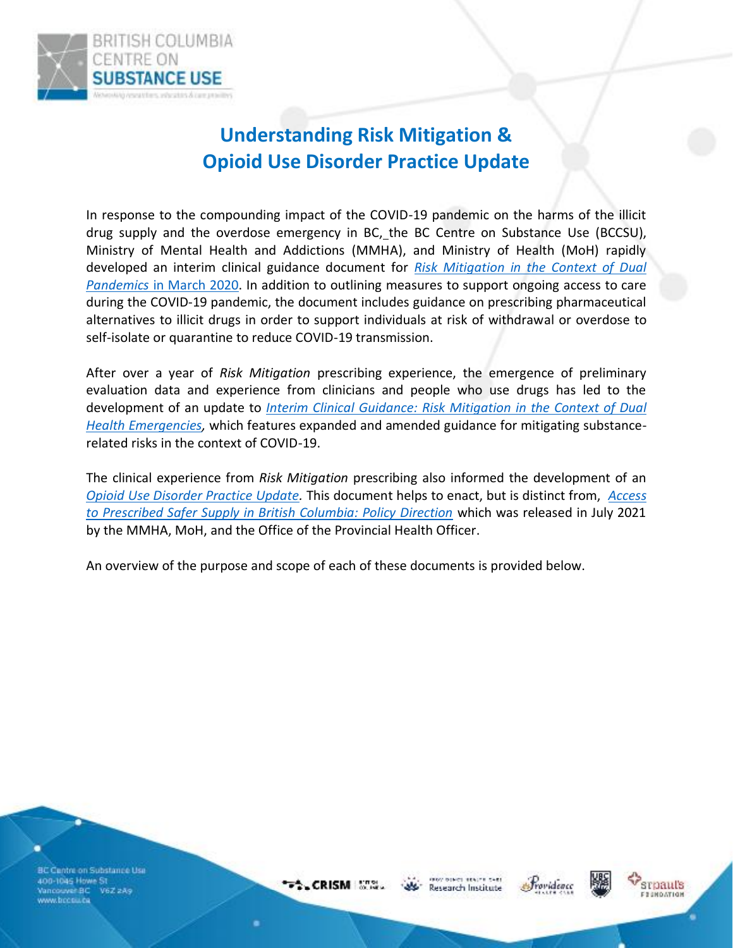

## **Understanding Risk Mitigation & Opioid Use Disorder Practice Update**

In response to the compounding impact of the COVID-19 pandemic on the harms of the illicit drug supply and the overdose emergency in BC, the BC Centre on Substance Use (BCCSU), Ministry of Mental Health and Addictions (MMHA), and Ministry of Health (MoH) rapidly developed an interim clinical guidance document for *[Risk Mitigation in the Context of Dual](https://www.bccsu.ca/covid-19/)  [Pandemics](https://www.bccsu.ca/covid-19/)* in March 2020. In addition to outlining measures to support ongoing access to care during the COVID-19 pandemic, the document includes guidance on prescribing pharmaceutical alternatives to illicit drugs in order to support individuals at risk of withdrawal or overdose to self-isolate or quarantine to reduce COVID-19 transmission.

After over a year of *Risk Mitigation* prescribing experience, the emergence of preliminary evaluation data and experience from clinicians and people who use drugs has led to the development of an update to *[Interim Clinical Guidance: Risk Mitigation in the Context of Dual](https://www.bccsu.ca/covid-19/)  [Health Emergencies,](https://www.bccsu.ca/covid-19/)* which features expanded and amended guidance for mitigating substancerelated risks in the context of COVID-19.

The clinical experience from *Risk Mitigation* prescribing also informed the development of an *[Opioid Use Disorder Practice Update.](http://www.bccsu.ca/opioid-use-disorder)* This document helps to enact, but is distinct from, *[Access](https://www2.gov.bc.ca/assets/gov/overdose-awareness/prescribed_safer_supply_in_bc.pdf)  [to Prescribed Safer Supply in British Columbia: Policy Direction](https://www2.gov.bc.ca/assets/gov/overdose-awareness/prescribed_safer_supply_in_bc.pdf)* which was released in July 2021 by the MMHA, MoH, and the Office of the Provincial Health Officer.

An overview of the purpose and scope of each of these documents is provided below.

BC Cantre on Substance Use 400-1045 Howe St .<br>Vancouver BC V6Z 2A9<br>www.bccsi.i.ca

 $\sim$  CRISM  $\sim$ 

GEOGRAPHICS REALTY CARS Research Institute





srpaul's FIJNDATION